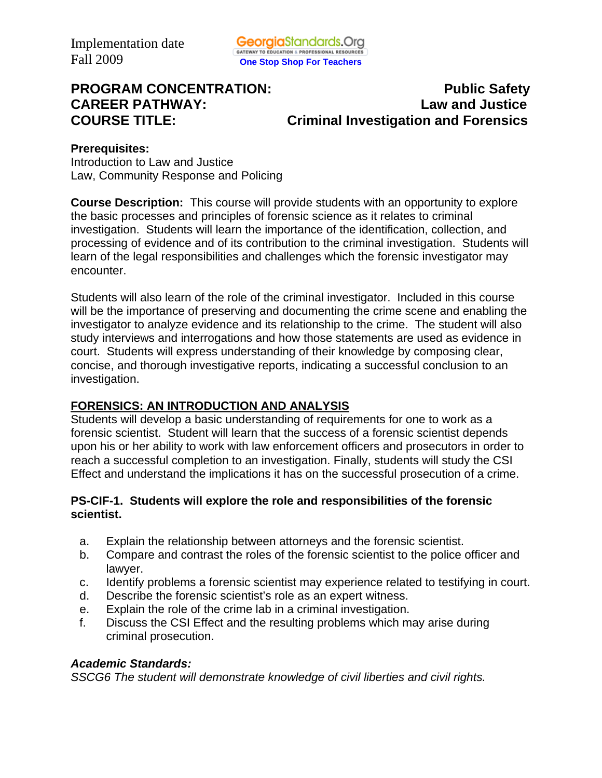**PROGRAM CONCENTRATION:** PROGRAM **PUBLIC SAFETY CAREER PATHWAY: Law and Justice COURSE TITLE: Criminal Investigation and Forensics** 

#### **Prerequisites:**

Introduction to Law and Justice Law, Community Response and Policing

**Course Description:** This course will provide students with an opportunity to explore the basic processes and principles of forensic science as it relates to criminal investigation. Students will learn the importance of the identification, collection, and processing of evidence and of its contribution to the criminal investigation. Students will learn of the legal responsibilities and challenges which the forensic investigator may encounter.

Students will also learn of the role of the criminal investigator. Included in this course will be the importance of preserving and documenting the crime scene and enabling the investigator to analyze evidence and its relationship to the crime. The student will also study interviews and interrogations and how those statements are used as evidence in court. Students will express understanding of their knowledge by composing clear, concise, and thorough investigative reports, indicating a successful conclusion to an investigation.

# **FORENSICS: AN INTRODUCTION AND ANALYSIS**

Students will develop a basic understanding of requirements for one to work as a forensic scientist. Student will learn that the success of a forensic scientist depends upon his or her ability to work with law enforcement officers and prosecutors in order to reach a successful completion to an investigation. Finally, students will study the CSI Effect and understand the implications it has on the successful prosecution of a crime.

#### **PS-CIF-1. Students will explore the role and responsibilities of the forensic scientist.**

- a. Explain the relationship between attorneys and the forensic scientist.
- b. Compare and contrast the roles of the forensic scientist to the police officer and lawyer.
- c. Identify problems a forensic scientist may experience related to testifying in court.
- d. Describe the forensic scientist's role as an expert witness.
- e. Explain the role of the crime lab in a criminal investigation.
- f. Discuss the CSI Effect and the resulting problems which may arise during criminal prosecution.

#### *Academic Standards:*

*SSCG6 The student will demonstrate knowledge of civil liberties and civil rights.*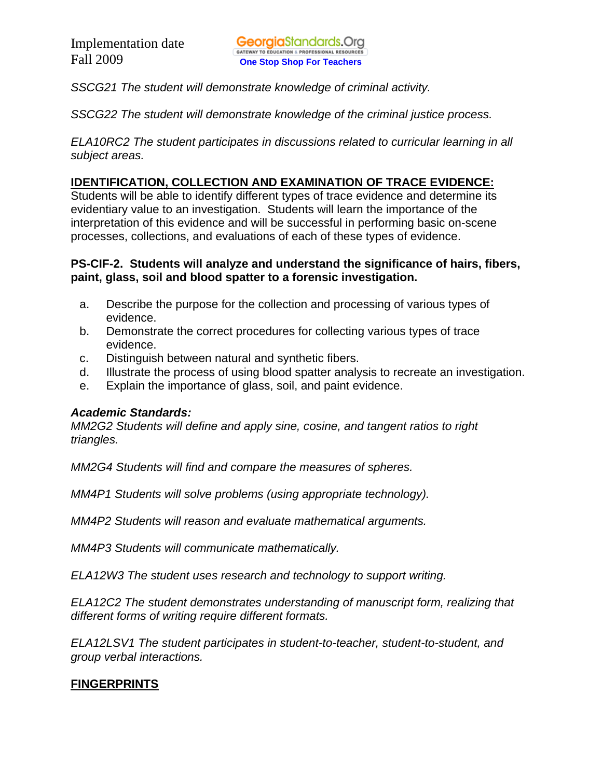*SSCG21 The student will demonstrate knowledge of criminal activity.* 

*SSCG22 The student will demonstrate knowledge of the criminal justice process.* 

*ELA10RC2 The student participates in discussions related to curricular learning in all subject areas.* 

### **IDENTIFICATION, COLLECTION AND EXAMINATION OF TRACE EVIDENCE:**

Students will be able to identify different types of trace evidence and determine its evidentiary value to an investigation. Students will learn the importance of the interpretation of this evidence and will be successful in performing basic on-scene processes, collections, and evaluations of each of these types of evidence.

#### **PS-CIF-2. Students will analyze and understand the significance of hairs, fibers, paint, glass, soil and blood spatter to a forensic investigation.**

- a. Describe the purpose for the collection and processing of various types of evidence.
- b. Demonstrate the correct procedures for collecting various types of trace evidence.
- c. Distinguish between natural and synthetic fibers.
- d. Illustrate the process of using blood spatter analysis to recreate an investigation.
- e. Explain the importance of glass, soil, and paint evidence.

#### *Academic Standards:*

*MM2G2 Students will define and apply sine, cosine, and tangent ratios to right triangles.* 

*MM2G4 Students will find and compare the measures of spheres.* 

*MM4P1 Students will solve problems (using appropriate technology).* 

*MM4P2 Students will reason and evaluate mathematical arguments.* 

*MM4P3 Students will communicate mathematically.* 

*ELA12W3 The student uses research and technology to support writing.* 

*ELA12C2 The student demonstrates understanding of manuscript form, realizing that different forms of writing require different formats.* 

*ELA12LSV1 The student participates in student-to-teacher, student-to-student, and group verbal interactions.* 

# **FINGERPRINTS**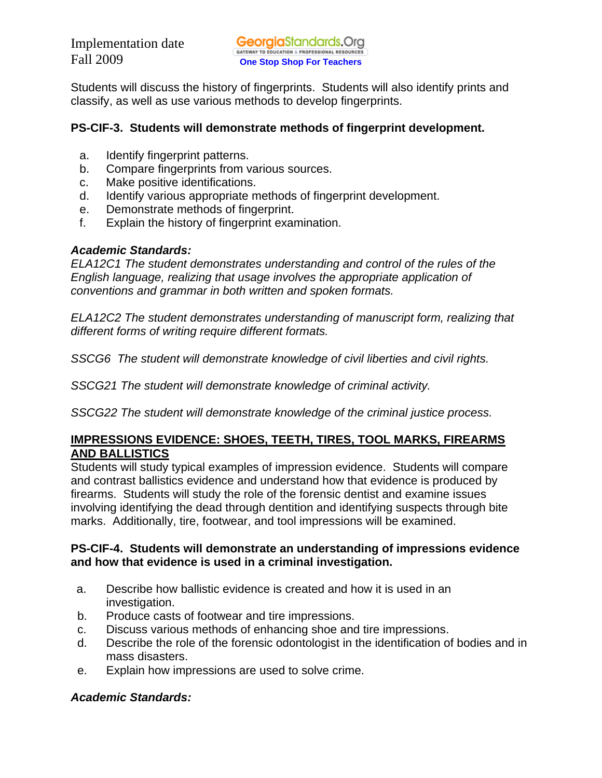Students will discuss the history of fingerprints. Students will also identify prints and classify, as well as use various methods to develop fingerprints.

#### **PS-CIF-3. Students will demonstrate methods of fingerprint development.**

- a. Identify fingerprint patterns.
- b. Compare fingerprints from various sources.
- c. Make positive identifications.
- d. Identify various appropriate methods of fingerprint development.
- e. Demonstrate methods of fingerprint.
- f. Explain the history of fingerprint examination.

### *Academic Standards:*

*ELA12C1 The student demonstrates understanding and control of the rules of the English language, realizing that usage involves the appropriate application of conventions and grammar in both written and spoken formats.* 

*ELA12C2 The student demonstrates understanding of manuscript form, realizing that different forms of writing require different formats.* 

*SSCG6 The student will demonstrate knowledge of civil liberties and civil rights.* 

*SSCG21 The student will demonstrate knowledge of criminal activity.* 

*SSCG22 The student will demonstrate knowledge of the criminal justice process.* 

### **IMPRESSIONS EVIDENCE: SHOES, TEETH, TIRES, TOOL MARKS, FIREARMS AND BALLISTICS**

Students will study typical examples of impression evidence. Students will compare and contrast ballistics evidence and understand how that evidence is produced by firearms. Students will study the role of the forensic dentist and examine issues involving identifying the dead through dentition and identifying suspects through bite marks. Additionally, tire, footwear, and tool impressions will be examined.

#### **PS-CIF-4. Students will demonstrate an understanding of impressions evidence and how that evidence is used in a criminal investigation.**

- a. Describe how ballistic evidence is created and how it is used in an investigation.
- b. Produce casts of footwear and tire impressions.
- c. Discuss various methods of enhancing shoe and tire impressions.
- d. Describe the role of the forensic odontologist in the identification of bodies and in mass disasters.
- e. Explain how impressions are used to solve crime.

# *Academic Standards:*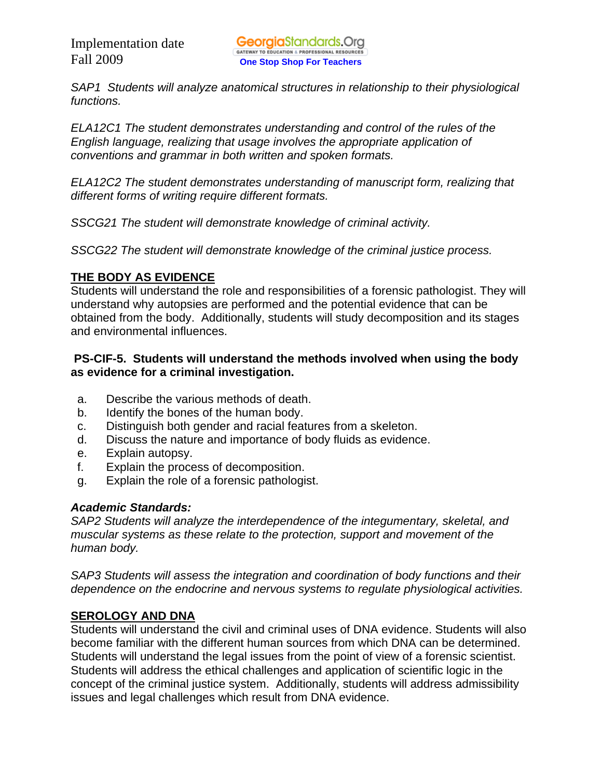*SAP1 Students will analyze anatomical structures in relationship to their physiological functions.* 

*ELA12C1 The student demonstrates understanding and control of the rules of the English language, realizing that usage involves the appropriate application of conventions and grammar in both written and spoken formats.* 

*ELA12C2 The student demonstrates understanding of manuscript form, realizing that different forms of writing require different formats.* 

*SSCG21 The student will demonstrate knowledge of criminal activity.* 

*SSCG22 The student will demonstrate knowledge of the criminal justice process.* 

# **THE BODY AS EVIDENCE**

Students will understand the role and responsibilities of a forensic pathologist. They will understand why autopsies are performed and the potential evidence that can be obtained from the body. Additionally, students will study decomposition and its stages and environmental influences.

## **PS-CIF-5. Students will understand the methods involved when using the body as evidence for a criminal investigation.**

- a. Describe the various methods of death.
- b. Identify the bones of the human body.
- c. Distinguish both gender and racial features from a skeleton.
- d. Discuss the nature and importance of body fluids as evidence.
- e. Explain autopsy.
- f. Explain the process of decomposition.
- g. Explain the role of a forensic pathologist.

#### *Academic Standards:*

*SAP2 Students will analyze the interdependence of the integumentary, skeletal, and muscular systems as these relate to the protection, support and movement of the human body.* 

*SAP3 Students will assess the integration and coordination of body functions and their dependence on the endocrine and nervous systems to regulate physiological activities.* 

# **SEROLOGY AND DNA**

Students will understand the civil and criminal uses of DNA evidence. Students will also become familiar with the different human sources from which DNA can be determined. Students will understand the legal issues from the point of view of a forensic scientist. Students will address the ethical challenges and application of scientific logic in the concept of the criminal justice system. Additionally, students will address admissibility issues and legal challenges which result from DNA evidence.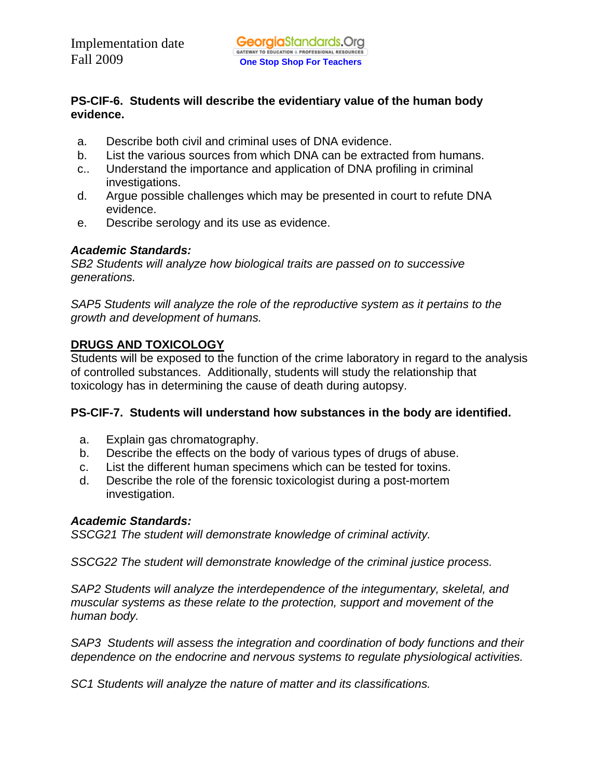#### **PS-CIF-6. Students will describe the evidentiary value of the human body evidence.**

- a. Describe both civil and criminal uses of DNA evidence.
- b. List the various sources from which DNA can be extracted from humans.
- c.. Understand the importance and application of DNA profiling in criminal investigations.
- d. Argue possible challenges which may be presented in court to refute DNA evidence.
- e. Describe serology and its use as evidence.

# *Academic Standards:*

*SB2 Students will analyze how biological traits are passed on to successive generations.*

*SAP5 Students will analyze the role of the reproductive system as it pertains to the growth and development of humans.* 

# **DRUGS AND TOXICOLOGY**

Students will be exposed to the function of the crime laboratory in regard to the analysis of controlled substances. Additionally, students will study the relationship that toxicology has in determining the cause of death during autopsy.

# **PS-CIF-7. Students will understand how substances in the body are identified.**

- a. Explain gas chromatography.
- b. Describe the effects on the body of various types of drugs of abuse.
- c. List the different human specimens which can be tested for toxins.
- d. Describe the role of the forensic toxicologist during a post-mortem investigation.

#### *Academic Standards:*

*SSCG21 The student will demonstrate knowledge of criminal activity.* 

*SSCG22 The student will demonstrate knowledge of the criminal justice process.* 

*SAP2 Students will analyze the interdependence of the integumentary, skeletal, and muscular systems as these relate to the protection, support and movement of the human body.* 

*SAP3 Students will assess the integration and coordination of body functions and their dependence on the endocrine and nervous systems to regulate physiological activities.* 

*SC1 Students will analyze the nature of matter and its classifications.*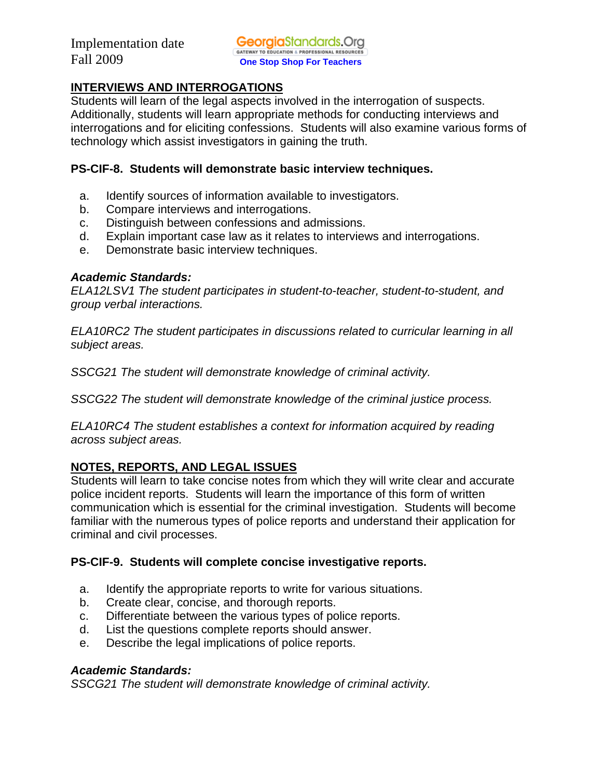# **INTERVIEWS AND INTERROGATIONS**

Students will learn of the legal aspects involved in the interrogation of suspects. Additionally, students will learn appropriate methods for conducting interviews and interrogations and for eliciting confessions. Students will also examine various forms of technology which assist investigators in gaining the truth.

#### **PS-CIF-8. Students will demonstrate basic interview techniques.**

- a. Identify sources of information available to investigators.
- b. Compare interviews and interrogations.
- c. Distinguish between confessions and admissions.
- d. Explain important case law as it relates to interviews and interrogations.
- e. Demonstrate basic interview techniques.

#### *Academic Standards:*

*ELA12LSV1 The student participates in student-to-teacher, student-to-student, and group verbal interactions.* 

*ELA10RC2 The student participates in discussions related to curricular learning in all subject areas.* 

*SSCG21 The student will demonstrate knowledge of criminal activity.* 

*SSCG22 The student will demonstrate knowledge of the criminal justice process.* 

*ELA10RC4 The student establishes a context for information acquired by reading across subject areas.* 

# **NOTES, REPORTS, AND LEGAL ISSUES**

Students will learn to take concise notes from which they will write clear and accurate police incident reports. Students will learn the importance of this form of written communication which is essential for the criminal investigation. Students will become familiar with the numerous types of police reports and understand their application for criminal and civil processes.

# **PS-CIF-9. Students will complete concise investigative reports.**

- a. Identify the appropriate reports to write for various situations.
- b. Create clear, concise, and thorough reports.
- c. Differentiate between the various types of police reports.
- d. List the questions complete reports should answer.
- e. Describe the legal implications of police reports.

# *Academic Standards:*

*SSCG21 The student will demonstrate knowledge of criminal activity.*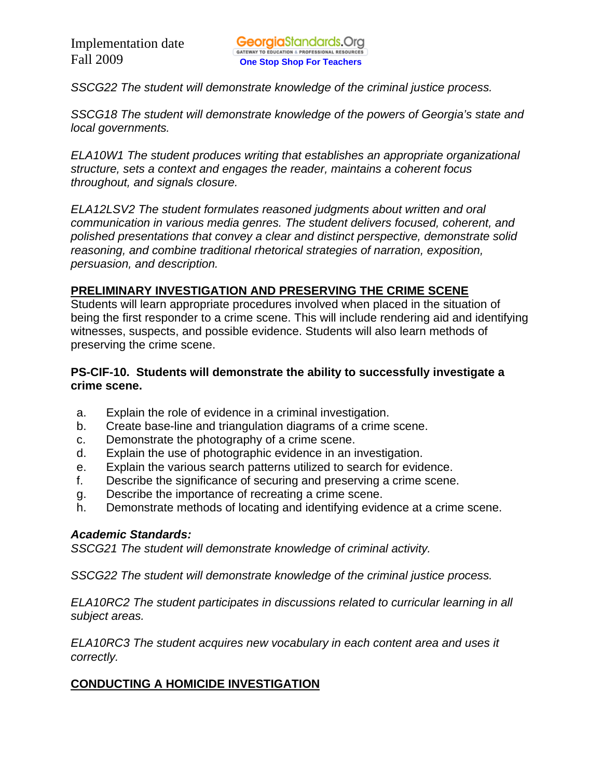*SSCG22 The student will demonstrate knowledge of the criminal justice process.* 

*SSCG18 The student will demonstrate knowledge of the powers of Georgia's state and local governments.* 

*ELA10W1 The student produces writing that establishes an appropriate organizational structure, sets a context and engages the reader, maintains a coherent focus throughout, and signals closure.* 

*ELA12LSV2 The student formulates reasoned judgments about written and oral communication in various media genres. The student delivers focused, coherent, and polished presentations that convey a clear and distinct perspective, demonstrate solid reasoning, and combine traditional rhetorical strategies of narration, exposition, persuasion, and description.* 

#### **PRELIMINARY INVESTIGATION AND PRESERVING THE CRIME SCENE**

Students will learn appropriate procedures involved when placed in the situation of being the first responder to a crime scene. This will include rendering aid and identifying witnesses, suspects, and possible evidence. Students will also learn methods of preserving the crime scene.

#### **PS-CIF-10. Students will demonstrate the ability to successfully investigate a crime scene.**

- a. Explain the role of evidence in a criminal investigation.
- b. Create base-line and triangulation diagrams of a crime scene.
- c. Demonstrate the photography of a crime scene.
- d. Explain the use of photographic evidence in an investigation.
- e. Explain the various search patterns utilized to search for evidence.
- f. Describe the significance of securing and preserving a crime scene.
- g. Describe the importance of recreating a crime scene.
- h. Demonstrate methods of locating and identifying evidence at a crime scene.

#### *Academic Standards:*

*SSCG21 The student will demonstrate knowledge of criminal activity.* 

*SSCG22 The student will demonstrate knowledge of the criminal justice process.* 

*ELA10RC2 The student participates in discussions related to curricular learning in all subject areas.* 

*ELA10RC3 The student acquires new vocabulary in each content area and uses it correctly.* 

#### **CONDUCTING A HOMICIDE INVESTIGATION**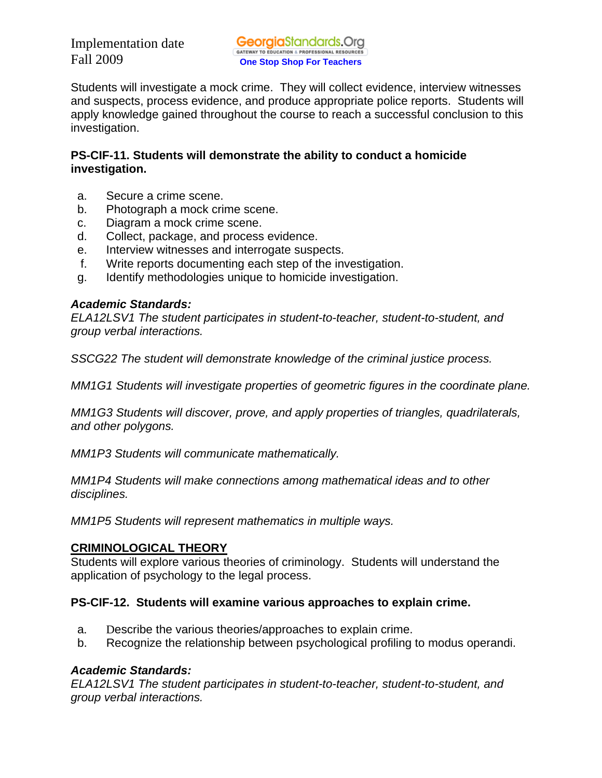Students will investigate a mock crime. They will collect evidence, interview witnesses and suspects, process evidence, and produce appropriate police reports. Students will apply knowledge gained throughout the course to reach a successful conclusion to this investigation.

## **PS-CIF-11. Students will demonstrate the ability to conduct a homicide investigation.**

- a. Secure a crime scene.
- b. Photograph a mock crime scene.
- c. Diagram a mock crime scene.
- d. Collect, package, and process evidence.
- e. Interview witnesses and interrogate suspects.
- f. Write reports documenting each step of the investigation.
- g. Identify methodologies unique to homicide investigation.

### *Academic Standards:*

*ELA12LSV1 The student participates in student-to-teacher, student-to-student, and group verbal interactions.* 

*SSCG22 The student will demonstrate knowledge of the criminal justice process.* 

*MM1G1 Students will investigate properties of geometric figures in the coordinate plane.* 

*MM1G3 Students will discover, prove, and apply properties of triangles, quadrilaterals, and other polygons.* 

*MM1P3 Students will communicate mathematically.* 

*MM1P4 Students will make connections among mathematical ideas and to other disciplines.* 

*MM1P5 Students will represent mathematics in multiple ways.* 

# **CRIMINOLOGICAL THEORY**

Students will explore various theories of criminology. Students will understand the application of psychology to the legal process.

# **PS-CIF-12. Students will examine various approaches to explain crime.**

- a. Describe the various theories/approaches to explain crime.
- b. Recognize the relationship between psychological profiling to modus operandi.

# *Academic Standards:*

*ELA12LSV1 The student participates in student-to-teacher, student-to-student, and group verbal interactions.*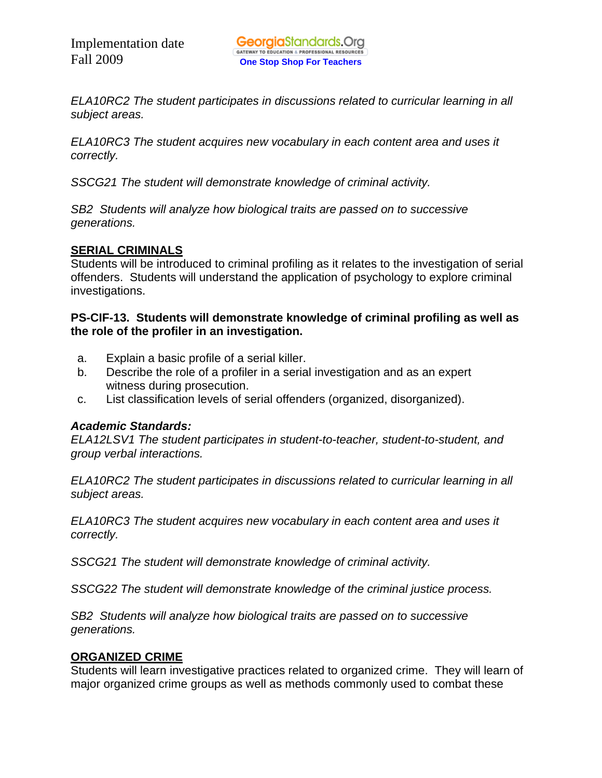*ELA10RC2 The student participates in discussions related to curricular learning in all subject areas.* 

*ELA10RC3 The student acquires new vocabulary in each content area and uses it correctly.* 

*SSCG21 The student will demonstrate knowledge of criminal activity.* 

*SB2 Students will analyze how biological traits are passed on to successive generations.* 

# **SERIAL CRIMINALS**

Students will be introduced to criminal profiling as it relates to the investigation of serial offenders. Students will understand the application of psychology to explore criminal investigations.

#### **PS-CIF-13. Students will demonstrate knowledge of criminal profiling as well as the role of the profiler in an investigation.**

- a. Explain a basic profile of a serial killer.
- b. Describe the role of a profiler in a serial investigation and as an expert witness during prosecution.
- c. List classification levels of serial offenders (organized, disorganized).

# *Academic Standards:*

*ELA12LSV1 The student participates in student-to-teacher, student-to-student, and group verbal interactions.* 

*ELA10RC2 The student participates in discussions related to curricular learning in all subject areas.* 

*ELA10RC3 The student acquires new vocabulary in each content area and uses it correctly.* 

*SSCG21 The student will demonstrate knowledge of criminal activity.* 

*SSCG22 The student will demonstrate knowledge of the criminal justice process.* 

*SB2 Students will analyze how biological traits are passed on to successive generations.* 

# **ORGANIZED CRIME**

Students will learn investigative practices related to organized crime. They will learn of major organized crime groups as well as methods commonly used to combat these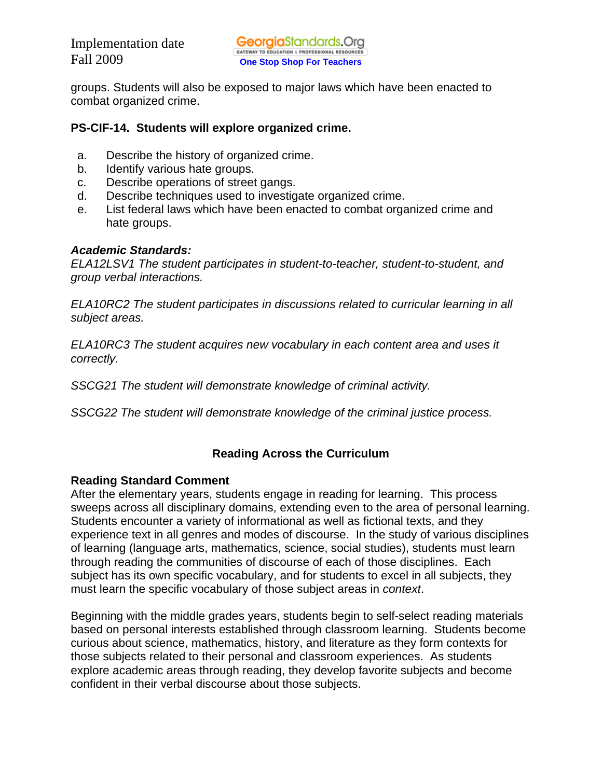groups. Students will also be exposed to major laws which have been enacted to combat organized crime.

#### **PS-CIF-14. Students will explore organized crime.**

- a. Describe the history of organized crime.
- b. Identify various hate groups.
- c. Describe operations of street gangs.
- d. Describe techniques used to investigate organized crime.
- e. List federal laws which have been enacted to combat organized crime and hate groups.

#### *Academic Standards:*

*ELA12LSV1 The student participates in student-to-teacher, student-to-student, and group verbal interactions.* 

*ELA10RC2 The student participates in discussions related to curricular learning in all subject areas.* 

*ELA10RC3 The student acquires new vocabulary in each content area and uses it correctly.* 

*SSCG21 The student will demonstrate knowledge of criminal activity.* 

*SSCG22 The student will demonstrate knowledge of the criminal justice process.* 

#### **Reading Across the Curriculum**

#### **Reading Standard Comment**

After the elementary years, students engage in reading for learning. This process sweeps across all disciplinary domains, extending even to the area of personal learning. Students encounter a variety of informational as well as fictional texts, and they experience text in all genres and modes of discourse. In the study of various disciplines of learning (language arts, mathematics, science, social studies), students must learn through reading the communities of discourse of each of those disciplines. Each subject has its own specific vocabulary, and for students to excel in all subjects, they must learn the specific vocabulary of those subject areas in *context*.

Beginning with the middle grades years, students begin to self-select reading materials based on personal interests established through classroom learning. Students become curious about science, mathematics, history, and literature as they form contexts for those subjects related to their personal and classroom experiences. As students explore academic areas through reading, they develop favorite subjects and become confident in their verbal discourse about those subjects.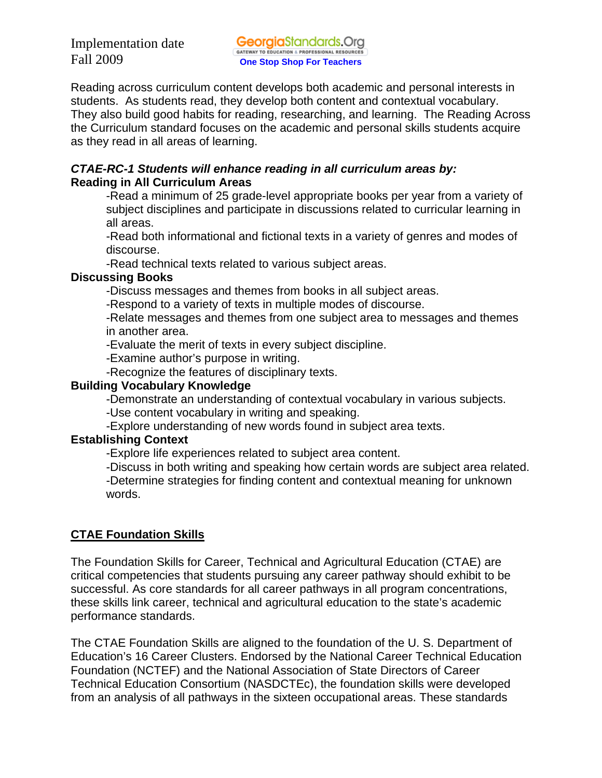Reading across curriculum content develops both academic and personal interests in students. As students read, they develop both content and contextual vocabulary. They also build good habits for reading, researching, and learning. The Reading Across the Curriculum standard focuses on the academic and personal skills students acquire as they read in all areas of learning.

#### *CTAE-RC-1 Students will enhance reading in all curriculum areas by:*  **Reading in All Curriculum Areas**

-Read a minimum of 25 grade-level appropriate books per year from a variety of subject disciplines and participate in discussions related to curricular learning in all areas.

-Read both informational and fictional texts in a variety of genres and modes of discourse.

-Read technical texts related to various subject areas.

### **Discussing Books**

-Discuss messages and themes from books in all subject areas.

-Respond to a variety of texts in multiple modes of discourse.

-Relate messages and themes from one subject area to messages and themes in another area.

-Evaluate the merit of texts in every subject discipline.

-Examine author's purpose in writing.

-Recognize the features of disciplinary texts.

## **Building Vocabulary Knowledge**

-Demonstrate an understanding of contextual vocabulary in various subjects.

-Use content vocabulary in writing and speaking.

-Explore understanding of new words found in subject area texts.

# **Establishing Context**

-Explore life experiences related to subject area content.

-Discuss in both writing and speaking how certain words are subject area related.

-Determine strategies for finding content and contextual meaning for unknown words.

# **CTAE Foundation Skills**

The Foundation Skills for Career, Technical and Agricultural Education (CTAE) are critical competencies that students pursuing any career pathway should exhibit to be successful. As core standards for all career pathways in all program concentrations, these skills link career, technical and agricultural education to the state's academic performance standards.

The CTAE Foundation Skills are aligned to the foundation of the U. S. Department of Education's 16 Career Clusters. Endorsed by the National Career Technical Education Foundation (NCTEF) and the National Association of State Directors of Career Technical Education Consortium (NASDCTEc), the foundation skills were developed from an analysis of all pathways in the sixteen occupational areas. These standards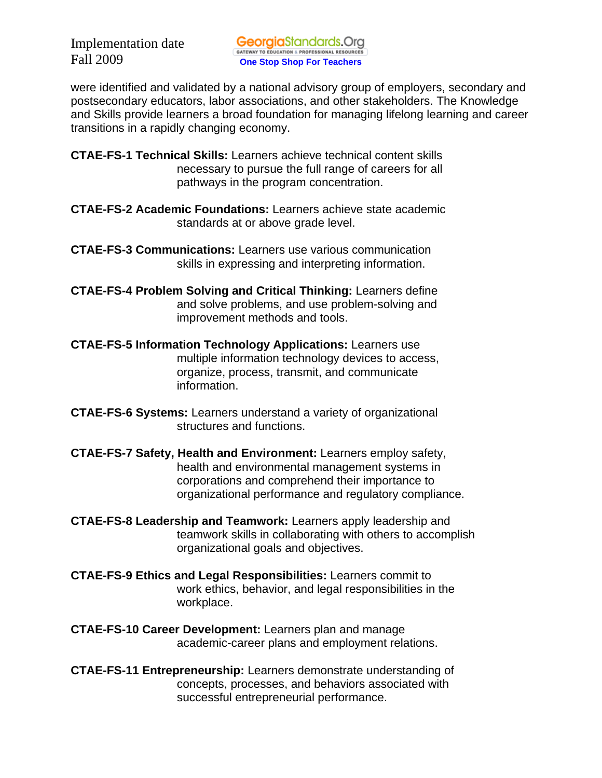were identified and validated by a national advisory group of employers, secondary and postsecondary educators, labor associations, and other stakeholders. The Knowledge and Skills provide learners a broad foundation for managing lifelong learning and career transitions in a rapidly changing economy.

- **CTAE-FS-1 Technical Skills:** Learners achieve technical content skills necessary to pursue the full range of careers for all pathways in the program concentration.
- **CTAE-FS-2 Academic Foundations:** Learners achieve state academic standards at or above grade level.
- **CTAE-FS-3 Communications:** Learners use various communication skills in expressing and interpreting information.
- **CTAE-FS-4 Problem Solving and Critical Thinking:** Learners define and solve problems, and use problem-solving and improvement methods and tools.
- **CTAE-FS-5 Information Technology Applications:** Learners use multiple information technology devices to access, organize, process, transmit, and communicate information.
- **CTAE-FS-6 Systems:** Learners understand a variety of organizational structures and functions.
- **CTAE-FS-7 Safety, Health and Environment:** Learners employ safety, health and environmental management systems in corporations and comprehend their importance to organizational performance and regulatory compliance.
- **CTAE-FS-8 Leadership and Teamwork:** Learners apply leadership and teamwork skills in collaborating with others to accomplish organizational goals and objectives.
- **CTAE-FS-9 Ethics and Legal Responsibilities:** Learners commit to work ethics, behavior, and legal responsibilities in the workplace.
- **CTAE-FS-10 Career Development:** Learners plan and manage academic-career plans and employment relations.
- **CTAE-FS-11 Entrepreneurship:** Learners demonstrate understanding of concepts, processes, and behaviors associated with successful entrepreneurial performance.